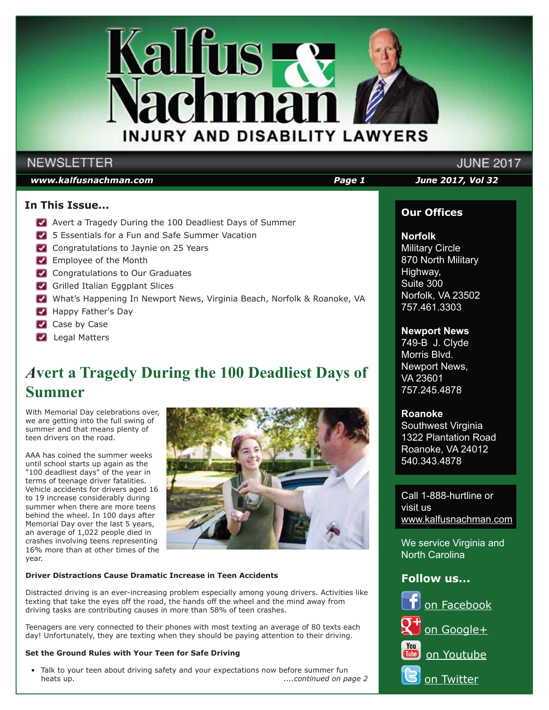

### **NEWSLETTER**

### *www.kalfusnachman.com Page 1 June 2017, Vol 32*

### **In This Issue...**

- Avert a Tragedy During the 100 Deadliest Days of Summer
- 5 Essentials for a Fun and Safe Summer Vacation
- Congratulations to Jaynie on 25 Years
- **Employee of the Month**
- **Congratulations to Our Graduates**
- Grilled Italian Eggplant Slices
- What's Happening In Newport News, Virginia Beach, Norfolk & Roanoke, VA
- Happy Father's Day
- Case by Case
- **Legal Matters**

# *A***vert a Tragedy During the 100 Deadliest Days of Summer**

With Memorial Day celebrations over, we are getting into the full swing of summer and that means plenty of teen drivers on the road.

AAA has coined the summer weeks until school starts up again as the "100 deadliest days" of the year in terms of teenage driver fatalities. Vehicle accidents for drivers aged 16 to 19 increase considerably during summer when there are more teens behind the wheel. In 100 days after Memorial Day over the last  $\overline{5}$  years, an average of 1,022 people died in crashes involving teens representing 16% more than at other times of the year.



### **Driver Distractions Cause Dramatic Increase in Teen Accidents**

Distracted driving is an ever-increasing problem especially among young drivers. Activities like texting that take the eyes off the road, the hands off the wheel and the mind away from driving tasks are contributing causes in more than 58% of teen crashes.

Teenagers are very connected to their phones with most texting an average of 80 texts each day! Unfortunately, they are texting when they should be paying attention to their driving.

#### **Set the Ground Rules with Your Teen for Safe Driving**

 • Talk to your teen about driving safety and your expectations now before summer fun heats up. *....continued on page 2*

# **JUNE 2017**

### **Our Offices**

### **Norfolk**

Military Circle 870 North Military Highway, Suite 300 Norfolk, VA 23502 757.461.3303

### **Newport News**

749-B J. Clyde Morris Blvd. Newport News, VA 23601 757.245.4878

### **Roanoke**

Southwest Virginia 1322 Plantation Road Roanoke, VA 24012 540.343.4878

Call 1-888-hurtline or visit us www.kalfusnachman.com

We service Virginia and North Carolina

### **Follow us...**

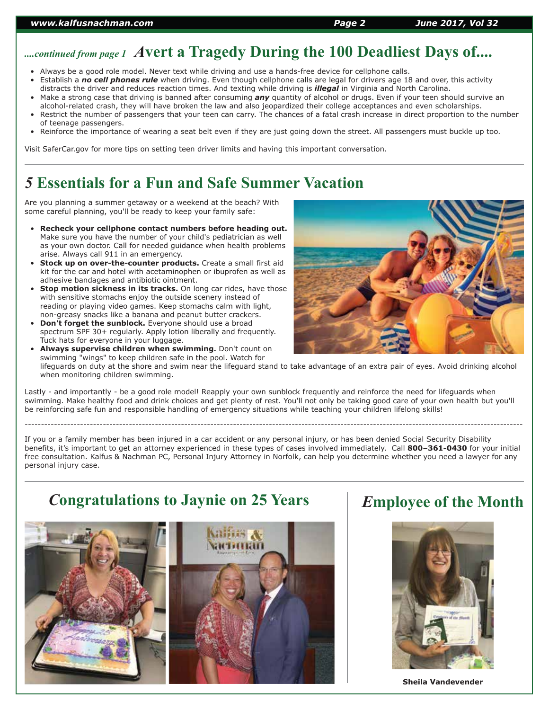# *....continued from page 1 A***vert a Tragedy During the 100 Deadliest Days of....**

- Always be a good role model. Never text while driving and use a hands-free device for cellphone calls.
- Establish a *no cell phones rule* when driving. Even though cellphone calls are legal for drivers age 18 and over, this activity distracts the driver and reduces reaction times. And texting while driving is *illegal* in Virginia and North Carolina.
- Make a strong case that driving is banned after consuming *any* quantity of alcohol or drugs. Even if your teen should survive an alcohol-related crash, they will have broken the law and also jeopardized their college acceptances and even scholarships.
- Restrict the number of passengers that your teen can carry. The chances of a fatal crash increase in direct proportion to the number of teenage passengers.
- Reinforce the importance of wearing a seat belt even if they are just going down the street. All passengers must buckle up too.

Visit SaferCar.gov for more tips on setting teen driver limits and having this important conversation.

## *5* **Essentials for a Fun and Safe Summer Vacation**

Are you planning a summer getaway or a weekend at the beach? With some careful planning, you'll be ready to keep your family safe:

- **Recheck your cellphone contact numbers before heading out.** Make sure you have the number of your child's pediatrician as well as your own doctor. Call for needed guidance when health problems arise. Always call 911 in an emergency.
- **Stock up on over-the-counter products.** Create a small first aid kit for the car and hotel with acetaminophen or ibuprofen as well as adhesive bandages and antibiotic ointment.
- **Stop motion sickness in its tracks.** On long car rides, have those with sensitive stomachs enjoy the outside scenery instead of reading or playing video games. Keep stomachs calm with light, non-greasy snacks like a banana and peanut butter crackers.
- **Don't forget the sunblock.** Everyone should use a broad spectrum SPF 30+ regularly. Apply lotion liberally and frequently. Tuck hats for everyone in your luggage.
- **Always supervise children when swimming.** Don't count on swimming "wings" to keep children safe in the pool. Watch for lifeguards on duty at the shore and swim near the lifeguard stand to take advantage of an extra pair of eyes. Avoid drinking alcohol when monitoring children swimming.

Lastly - and importantly - be a good role model! Reapply your own sunblock frequently and reinforce the need for lifeguards when swimming. Make healthy food and drink choices and get plenty of rest. You'll not only be taking good care of your own health but you'll be reinforcing safe fun and responsible handling of emergency situations while teaching your children lifelong skills!

---------------------------------------------------------------------------------------------------------------------------------------------------------

If you or a family member has been injured in a car accident or any personal injury, or has been denied Social Security Disability benefits, it's important to get an attorney experienced in these types of cases involved immediately. Call **800–361-0430** for your initial free consultation. Kalfus & Nachman PC, Personal Injury Attorney in Norfolk, can help you determine whether you need a lawyer for any personal injury case.

### *C***ongratulations to Jaynie on 25 Years**



### *E***mployee of the Month**



**Sheila Vandevender**

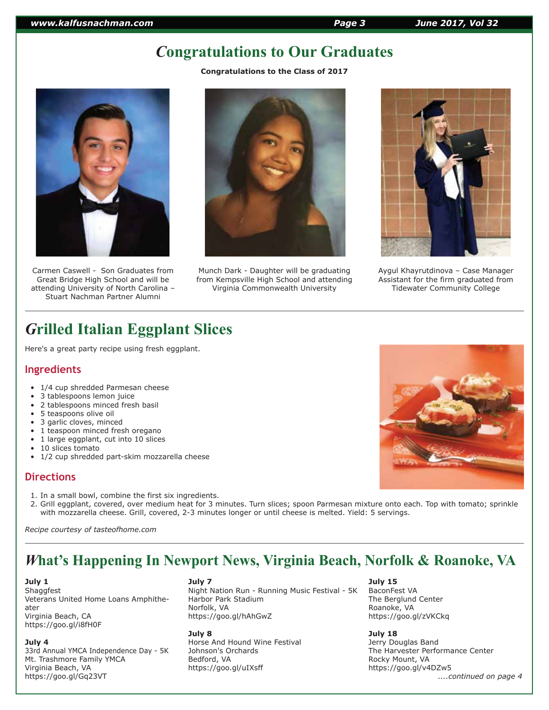# *C***ongratulations to Our Graduates**

**Congratulations to the Class of 2017**



Carmen Caswell - Son Graduates from Great Bridge High School and will be attending University of North Carolina – Stuart Nachman Partner Alumni



Munch Dark - Daughter will be graduating from Kempsville High School and attending Virginia Commonwealth University



Aygul Khayrutdinova – Case Manager Assistant for the firm graduated from Tidewater Community College

# *G***rilled Italian Eggplant Slices**

Here's a great party recipe using fresh eggplant.

### **Ingredients**

- 1/4 cup shredded Parmesan cheese
- 3 tablespoons lemon juice
- 2 tablespoons minced fresh basil
- 5 teaspoons olive oil
- 3 garlic cloves, minced
- 1 teaspoon minced fresh oregano
- 1 large eggplant, cut into 10 slices
- 10 slices tomato
- 1/2 cup shredded part-skim mozzarella cheese

### **Directions**

- 1. In a small bowl, combine the first six ingredients.
- 2. Grill eggplant, covered, over medium heat for 3 minutes. Turn slices; spoon Parmesan mixture onto each. Top with tomato; sprinkle with mozzarella cheese. Grill, covered, 2-3 minutes longer or until cheese is melted. Yield: 5 servings.

*Recipe courtesy of tasteofhome.com*

### *W***hat's Happening In Newport News, Virginia Beach, Norfolk & Roanoke, VA**

**July 1**

**Shaggfest** Veterans United Home Loans Amphitheater Virginia Beach, CA https://goo.gl/i8fH0F

#### **July 4**

33rd Annual YMCA Independence Day - 5K Mt. Trashmore Family YMCA Virginia Beach, VA https://goo.gl/Gq23VT

#### **July 7**

Night Nation Run - Running Music Festival - 5K Harbor Park Stadium Norfolk, VA https://goo.gl/hAhGwZ

#### **July 8**

Horse And Hound Wine Festival Johnson's Orchards Bedford, VA https://goo.gl/uIXsff

#### **July 15**

BaconFest VA The Berglund Center Roanoke, VA https://goo.gl/zVKCkq

### **July 18**

Jerry Douglas Band The Harvester Performance Center Rocky Mount, VA https://goo.gl/v4DZw5  *....continued on page 4*